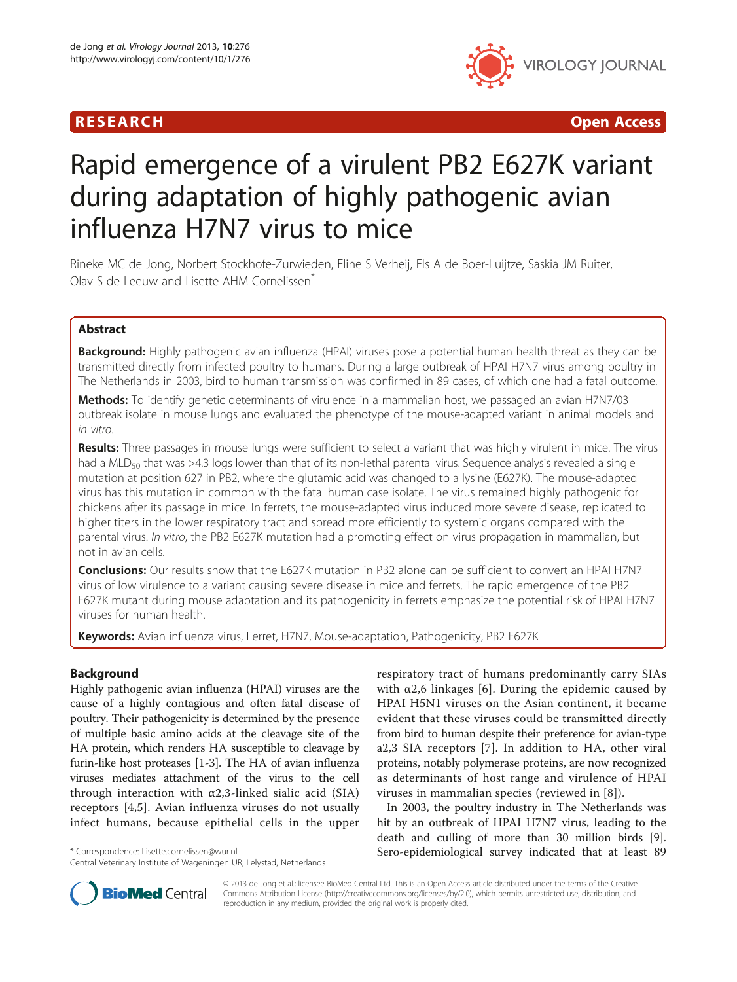# R E S EAR CH Open Access



# Rapid emergence of a virulent PB2 E627K variant during adaptation of highly pathogenic avian influenza H7N7 virus to mice

Rineke MC de Jong, Norbert Stockhofe-Zurwieden, Eline S Verheij, Els A de Boer-Luijtze, Saskia JM Ruiter, Olav S de Leeuw and Lisette AHM Cornelissen<sup>\*</sup>

# Abstract

Background: Highly pathogenic avian influenza (HPAI) viruses pose a potential human health threat as they can be transmitted directly from infected poultry to humans. During a large outbreak of HPAI H7N7 virus among poultry in The Netherlands in 2003, bird to human transmission was confirmed in 89 cases, of which one had a fatal outcome.

Methods: To identify genetic determinants of virulence in a mammalian host, we passaged an avian H7N7/03 outbreak isolate in mouse lungs and evaluated the phenotype of the mouse-adapted variant in animal models and in vitro.

Results: Three passages in mouse lungs were sufficient to select a variant that was highly virulent in mice. The virus had a MLD<sub>50</sub> that was >4.3 logs lower than that of its non-lethal parental virus. Sequence analysis revealed a single mutation at position 627 in PB2, where the glutamic acid was changed to a lysine (E627K). The mouse-adapted virus has this mutation in common with the fatal human case isolate. The virus remained highly pathogenic for chickens after its passage in mice. In ferrets, the mouse-adapted virus induced more severe disease, replicated to higher titers in the lower respiratory tract and spread more efficiently to systemic organs compared with the parental virus. In vitro, the PB2 E627K mutation had a promoting effect on virus propagation in mammalian, but not in avian cells.

Conclusions: Our results show that the E627K mutation in PB2 alone can be sufficient to convert an HPAI H7N7 virus of low virulence to a variant causing severe disease in mice and ferrets. The rapid emergence of the PB2 E627K mutant during mouse adaptation and its pathogenicity in ferrets emphasize the potential risk of HPAI H7N7 viruses for human health.

Keywords: Avian influenza virus, Ferret, H7N7, Mouse-adaptation, Pathogenicity, PB2 E627K

# Background

Highly pathogenic avian influenza (HPAI) viruses are the cause of a highly contagious and often fatal disease of poultry. Their pathogenicity is determined by the presence of multiple basic amino acids at the cleavage site of the HA protein, which renders HA susceptible to cleavage by furin-like host proteases [[1-3\]](#page-9-0). The HA of avian influenza viruses mediates attachment of the virus to the cell through interaction with  $\alpha$ 2,3-linked sialic acid (SIA) receptors [\[4](#page-9-0),[5\]](#page-9-0). Avian influenza viruses do not usually infect humans, because epithelial cells in the upper

respiratory tract of humans predominantly carry SIAs with  $\alpha$ 2,6 linkages [[6\]](#page-9-0). During the epidemic caused by HPAI H5N1 viruses on the Asian continent, it became evident that these viruses could be transmitted directly from bird to human despite their preference for avian-type a2,3 SIA receptors [[7](#page-9-0)]. In addition to HA, other viral proteins, notably polymerase proteins, are now recognized as determinants of host range and virulence of HPAI viruses in mammalian species (reviewed in [[8](#page-9-0)]).

In 2003, the poultry industry in The Netherlands was hit by an outbreak of HPAI H7N7 virus, leading to the death and culling of more than 30 million birds [\[9](#page-9-0)]. \* Correspondence: [Lisette.cornelissen@wur.nl](mailto:Lisette.cornelissen@wur.nl) Sero-epidemiological survey indicated that at least 89



© 2013 de Jong et al.; licensee BioMed Central Ltd. This is an Open Access article distributed under the terms of the Creative Commons Attribution License [\(http://creativecommons.org/licenses/by/2.0\)](http://creativecommons.org/licenses/by/2.0), which permits unrestricted use, distribution, and reproduction in any medium, provided the original work is properly cited.

Central Veterinary Institute of Wageningen UR, Lelystad, Netherlands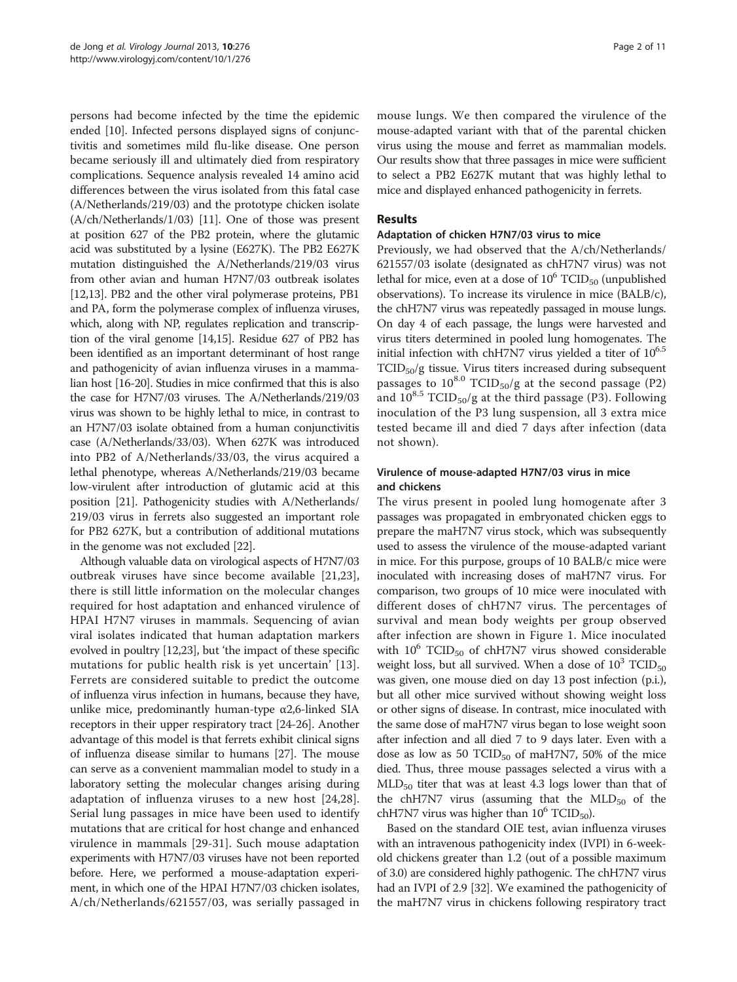persons had become infected by the time the epidemic ended [[10\]](#page-9-0). Infected persons displayed signs of conjunctivitis and sometimes mild flu-like disease. One person became seriously ill and ultimately died from respiratory complications. Sequence analysis revealed 14 amino acid differences between the virus isolated from this fatal case (A/Netherlands/219/03) and the prototype chicken isolate (A/ch/Netherlands/1/03) [[11](#page-9-0)]. One of those was present at position 627 of the PB2 protein, where the glutamic acid was substituted by a lysine (E627K). The PB2 E627K mutation distinguished the A/Netherlands/219/03 virus from other avian and human H7N7/03 outbreak isolates [[12,13](#page-9-0)]. PB2 and the other viral polymerase proteins, PB1 and PA, form the polymerase complex of influenza viruses, which, along with NP, regulates replication and transcription of the viral genome [\[14,15](#page-9-0)]. Residue 627 of PB2 has been identified as an important determinant of host range and pathogenicity of avian influenza viruses in a mammalian host [\[16-20](#page-9-0)]. Studies in mice confirmed that this is also the case for H7N7/03 viruses. The A/Netherlands/219/03 virus was shown to be highly lethal to mice, in contrast to an H7N7/03 isolate obtained from a human conjunctivitis case (A/Netherlands/33/03). When 627K was introduced into PB2 of A/Netherlands/33/03, the virus acquired a lethal phenotype, whereas A/Netherlands/219/03 became low-virulent after introduction of glutamic acid at this position [\[21](#page-9-0)]. Pathogenicity studies with A/Netherlands/ 219/03 virus in ferrets also suggested an important role for PB2 627K, but a contribution of additional mutations in the genome was not excluded [[22](#page-9-0)].

Although valuable data on virological aspects of H7N7/03 outbreak viruses have since become available [[21,23](#page-9-0)], there is still little information on the molecular changes required for host adaptation and enhanced virulence of HPAI H7N7 viruses in mammals. Sequencing of avian viral isolates indicated that human adaptation markers evolved in poultry [[12,23\]](#page-9-0), but 'the impact of these specific mutations for public health risk is yet uncertain' [[13](#page-9-0)]. Ferrets are considered suitable to predict the outcome of influenza virus infection in humans, because they have, unlike mice, predominantly human-type  $\alpha$ 2,6-linked SIA receptors in their upper respiratory tract [\[24-26\]](#page-9-0). Another advantage of this model is that ferrets exhibit clinical signs of influenza disease similar to humans [[27\]](#page-9-0). The mouse can serve as a convenient mammalian model to study in a laboratory setting the molecular changes arising during adaptation of influenza viruses to a new host [[24,28](#page-9-0)]. Serial lung passages in mice have been used to identify mutations that are critical for host change and enhanced virulence in mammals [\[29](#page-9-0)-[31\]](#page-9-0). Such mouse adaptation experiments with H7N7/03 viruses have not been reported before. Here, we performed a mouse-adaptation experiment, in which one of the HPAI H7N7/03 chicken isolates, A/ch/Netherlands/621557/03, was serially passaged in

mouse lungs. We then compared the virulence of the mouse-adapted variant with that of the parental chicken virus using the mouse and ferret as mammalian models. Our results show that three passages in mice were sufficient to select a PB2 E627K mutant that was highly lethal to mice and displayed enhanced pathogenicity in ferrets.

#### Results

#### Adaptation of chicken H7N7/03 virus to mice

Previously, we had observed that the A/ch/Netherlands/ 621557/03 isolate (designated as chH7N7 virus) was not lethal for mice, even at a dose of  $10^6$  TCID<sub>50</sub> (unpublished observations). To increase its virulence in mice (BALB/c), the chH7N7 virus was repeatedly passaged in mouse lungs. On day 4 of each passage, the lungs were harvested and virus titers determined in pooled lung homogenates. The initial infection with chH7N7 virus yielded a titer of  $10^{6.5}$ TCID50/g tissue. Virus titers increased during subsequent passages to  $10^{8.0}$  TCID<sub>50</sub>/g at the second passage (P2) and  $10^{8.5}$  TCID<sub>50</sub>/g at the third passage (P3). Following inoculation of the P3 lung suspension, all 3 extra mice tested became ill and died 7 days after infection (data not shown).

# Virulence of mouse-adapted H7N7/03 virus in mice and chickens

The virus present in pooled lung homogenate after 3 passages was propagated in embryonated chicken eggs to prepare the maH7N7 virus stock, which was subsequently used to assess the virulence of the mouse-adapted variant in mice. For this purpose, groups of 10 BALB/c mice were inoculated with increasing doses of maH7N7 virus. For comparison, two groups of 10 mice were inoculated with different doses of chH7N7 virus. The percentages of survival and mean body weights per group observed after infection are shown in Figure [1.](#page-2-0) Mice inoculated with  $10^6$  TCID<sub>50</sub> of chH7N7 virus showed considerable weight loss, but all survived. When a dose of  $10^3$  TCID<sub>50</sub> was given, one mouse died on day 13 post infection (p.i.), but all other mice survived without showing weight loss or other signs of disease. In contrast, mice inoculated with the same dose of maH7N7 virus began to lose weight soon after infection and all died 7 to 9 days later. Even with a dose as low as 50  $TCID_{50}$  of maH7N7, 50% of the mice died. Thus, three mouse passages selected a virus with a  $MLD<sub>50</sub>$  titer that was at least 4.3 logs lower than that of the chH7N7 virus (assuming that the  $MLD_{50}$  of the chH7N7 virus was higher than  $10^6$  TCID<sub>50</sub>).

Based on the standard OIE test, avian influenza viruses with an intravenous pathogenicity index (IVPI) in 6-weekold chickens greater than 1.2 (out of a possible maximum of 3.0) are considered highly pathogenic. The chH7N7 virus had an IVPI of 2.9 [\[32](#page-9-0)]. We examined the pathogenicity of the maH7N7 virus in chickens following respiratory tract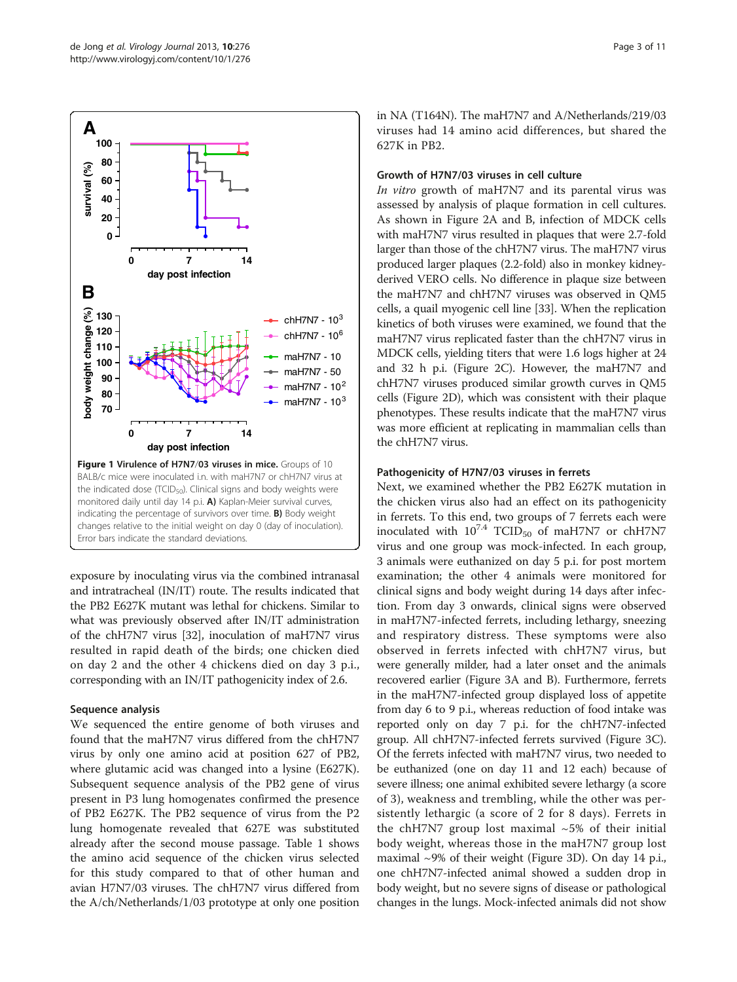<span id="page-2-0"></span>

exposure by inoculating virus via the combined intranasal and intratracheal (IN/IT) route. The results indicated that the PB2 E627K mutant was lethal for chickens. Similar to what was previously observed after IN/IT administration of the chH7N7 virus [\[32\]](#page-9-0), inoculation of maH7N7 virus resulted in rapid death of the birds; one chicken died on day 2 and the other 4 chickens died on day 3 p.i., corresponding with an IN/IT pathogenicity index of 2.6.

#### Sequence analysis

We sequenced the entire genome of both viruses and found that the maH7N7 virus differed from the chH7N7 virus by only one amino acid at position 627 of PB2, where glutamic acid was changed into a lysine (E627K). Subsequent sequence analysis of the PB2 gene of virus present in P3 lung homogenates confirmed the presence of PB2 E627K. The PB2 sequence of virus from the P2 lung homogenate revealed that 627E was substituted already after the second mouse passage. Table [1](#page-3-0) shows the amino acid sequence of the chicken virus selected for this study compared to that of other human and avian H7N7/03 viruses. The chH7N7 virus differed from the A/ch/Netherlands/1/03 prototype at only one position in NA (T164N). The maH7N7 and A/Netherlands/219/03 viruses had 14 amino acid differences, but shared the 627K in PB2.

#### Growth of H7N7/03 viruses in cell culture

In vitro growth of maH7N7 and its parental virus was assessed by analysis of plaque formation in cell cultures. As shown in Figure [2](#page-3-0)A and B, infection of MDCK cells with maH7N7 virus resulted in plaques that were 2.7-fold larger than those of the chH7N7 virus. The maH7N7 virus produced larger plaques (2.2-fold) also in monkey kidneyderived VERO cells. No difference in plaque size between the maH7N7 and chH7N7 viruses was observed in QM5 cells, a quail myogenic cell line [\[33\]](#page-9-0). When the replication kinetics of both viruses were examined, we found that the maH7N7 virus replicated faster than the chH7N7 virus in MDCK cells, yielding titers that were 1.6 logs higher at 24 and 32 h p.i. (Figure [2C](#page-3-0)). However, the maH7N7 and chH7N7 viruses produced similar growth curves in QM5 cells (Figure [2](#page-3-0)D), which was consistent with their plaque phenotypes. These results indicate that the maH7N7 virus was more efficient at replicating in mammalian cells than the chH7N7 virus.

# Pathogenicity of H7N7/03 viruses in ferrets

Next, we examined whether the PB2 E627K mutation in the chicken virus also had an effect on its pathogenicity in ferrets. To this end, two groups of 7 ferrets each were inoculated with  $10^{7.4}$  TCID<sub>50</sub> of maH7N7 or chH7N7 virus and one group was mock-infected. In each group, 3 animals were euthanized on day 5 p.i. for post mortem examination; the other 4 animals were monitored for clinical signs and body weight during 14 days after infection. From day 3 onwards, clinical signs were observed in maH7N7-infected ferrets, including lethargy, sneezing and respiratory distress. These symptoms were also observed in ferrets infected with chH7N7 virus, but were generally milder, had a later onset and the animals recovered earlier (Figure [3A](#page-4-0) and B). Furthermore, ferrets in the maH7N7-infected group displayed loss of appetite from day 6 to 9 p.i., whereas reduction of food intake was reported only on day 7 p.i. for the chH7N7-infected group. All chH7N7-infected ferrets survived (Figure [3C](#page-4-0)). Of the ferrets infected with maH7N7 virus, two needed to be euthanized (one on day 11 and 12 each) because of severe illness; one animal exhibited severe lethargy (a score of 3), weakness and trembling, while the other was persistently lethargic (a score of 2 for 8 days). Ferrets in the chH7N7 group lost maximal  $~5\%$  of their initial body weight, whereas those in the maH7N7 group lost maximal  $\sim$ 9% of their weight (Figure [3D](#page-4-0)). On day 14 p.i., one chH7N7-infected animal showed a sudden drop in body weight, but no severe signs of disease or pathological changes in the lungs. Mock-infected animals did not show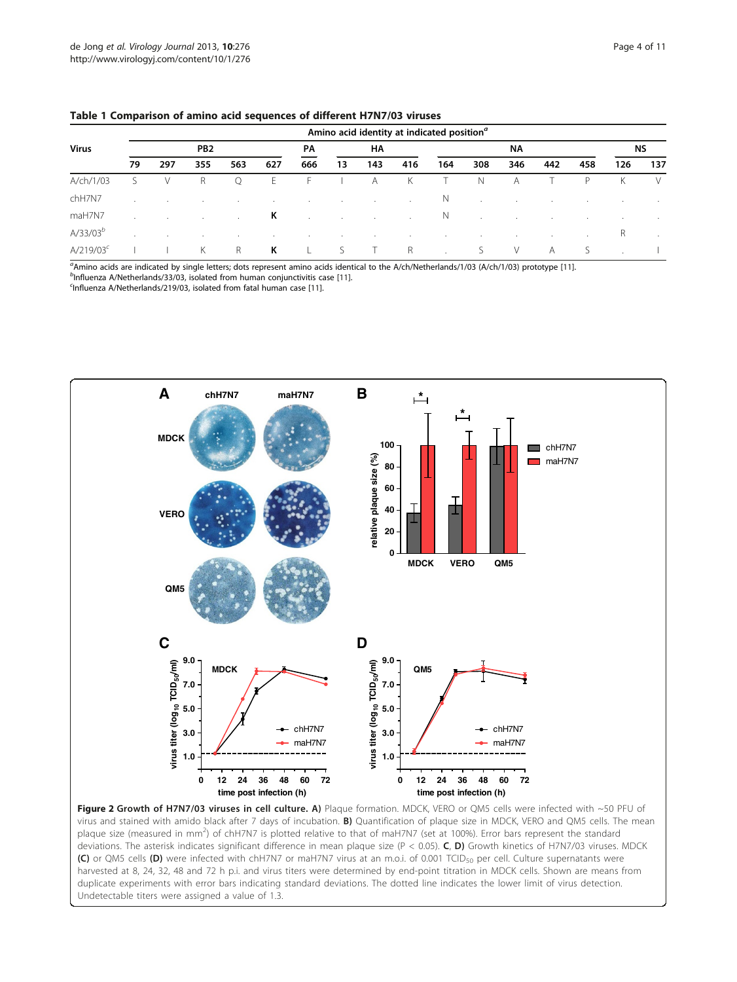#### <span id="page-3-0"></span>Table 1 Comparison of amino acid sequences of different H7N7/03 viruses

| <b>Virus</b>   | Amino acid identity at indicated position <sup>a</sup> |     |                 |         |         |                        |                      |         |        |              |         |         |         |           |         |        |
|----------------|--------------------------------------------------------|-----|-----------------|---------|---------|------------------------|----------------------|---------|--------|--------------|---------|---------|---------|-----------|---------|--------|
|                |                                                        |     | PB <sub>2</sub> |         |         | <b>HA</b><br><b>PA</b> |                      |         | ΝA     |              |         |         |         | <b>NS</b> |         |        |
|                | 79                                                     | 297 | 355             | 563     | 627     | 666                    | 13                   | 143     | 416    | 164          | 308     | 346     | 442     | 458       | 126     | 137    |
| A/ch/1/03      | S.                                                     | V   | R               | Q       | Ε       | H.,                    |                      | A       | К      |              | Ν       | A       |         | P         | Κ       | V      |
| chH7N7         |                                                        |     |                 |         | $\cdot$ |                        | $\cdot$              | $\cdot$ | $\sim$ | N            | $\cdot$ | $\cdot$ | $\sim$  |           | $\cdot$ | $\sim$ |
| maH7N7         |                                                        |     |                 | $\cdot$ | К       |                        | $\ddot{\phantom{a}}$ | $\cdot$ | $\sim$ | <sup>N</sup> | $\cdot$ | $\cdot$ | $\cdot$ | $\cdot$   | $\cdot$ | $\sim$ |
| $A/33/03^b$    | $\cdot$                                                |     | <b>.</b>        | $\cdot$ | $\cdot$ | $\cdot$                | $\cdot$              | $\cdot$ | $\sim$ | $\cdot$      | $\cdot$ | $\cdot$ | $\cdot$ | $\cdot$   | R       | $\sim$ |
| $A/219/03^{c}$ |                                                        |     | К               | R       | К       |                        | S                    |         | R      |              | S       | V       | A       | S         |         |        |

 $^a$ Amino acids are indicated by single letters; dots represent amino acids identical to the A/ch/Netherlands/1/03 (A/ch/1/03) prototype [\[11](#page-9-0)].

 $^{\prime\prime}$ Influenza A/Netherlands/33/03, isolated from human conjunctivitis case [\[11\]](#page-9-0). <sup>c</sup>Influenza A/Netherlands/219/03, isolated from fatal human case [\[11](#page-9-0)].



Figure 2 Growth of H7N7/03 viruses in cell culture. A) Plaque formation. MDCK, VERO or QM5 cells were infected with ~50 PFU of virus and stained with amido black after 7 days of incubation. B) Quantification of plaque size in MDCK, VERO and QM5 cells. The mean plaque size (measured in mm<sup>2</sup>) of chH7N7 is plotted relative to that of maH7N7 (set at 100%). Error bars represent the standard deviations. The asterisk indicates significant difference in mean plaque size (P < 0.05). C, D) Growth kinetics of H7N7/03 viruses. MDCK (C) or QM5 cells (D) were infected with chH7N7 or maH7N7 virus at an m.o.i. of 0.001 TCID<sub>50</sub> per cell. Culture supernatants were harvested at 8, 24, 32, 48 and 72 h p.i. and virus titers were determined by end-point titration in MDCK cells. Shown are means from duplicate experiments with error bars indicating standard deviations. The dotted line indicates the lower limit of virus detection. Undetectable titers were assigned a value of 1.3.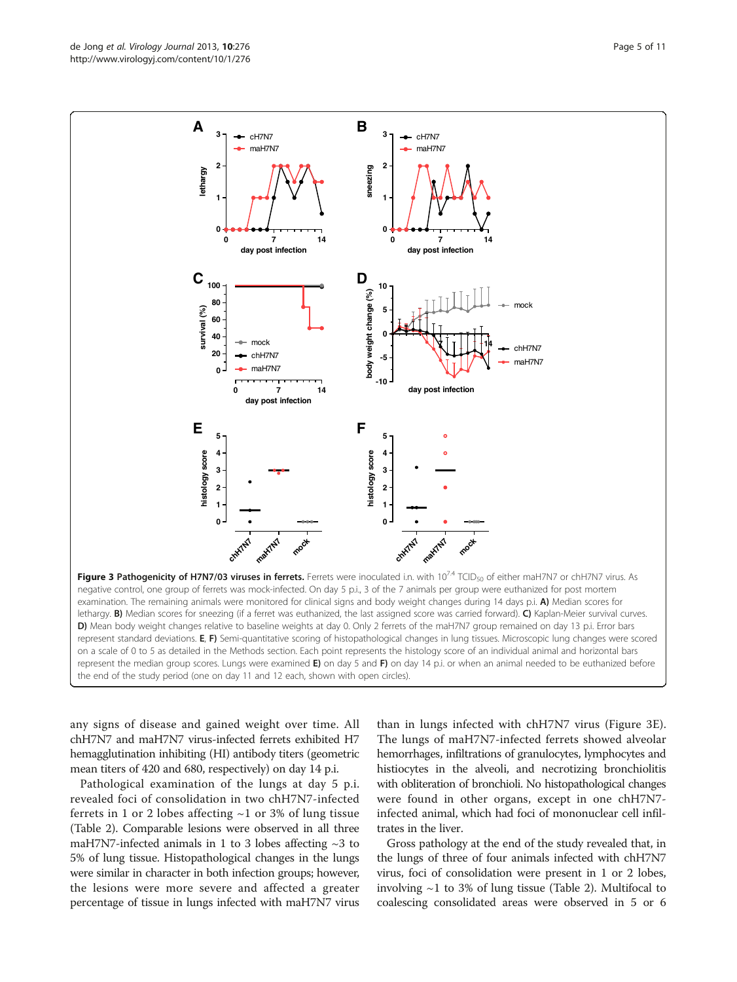any signs of disease and gained weight over time. All chH7N7 and maH7N7 virus-infected ferrets exhibited H7 hemagglutination inhibiting (HI) antibody titers (geometric mean titers of 420 and 680, respectively) on day 14 p.i.

Pathological examination of the lungs at day 5 p.i. revealed foci of consolidation in two chH7N7-infected ferrets in 1 or 2 lobes affecting  $~1$  or 3% of lung tissue (Table [2](#page-5-0)). Comparable lesions were observed in all three maH7N7-infected animals in 1 to 3 lobes affecting  $\sim$ 3 to 5% of lung tissue. Histopathological changes in the lungs were similar in character in both infection groups; however, the lesions were more severe and affected a greater percentage of tissue in lungs infected with maH7N7 virus

than in lungs infected with chH7N7 virus (Figure 3E). The lungs of maH7N7-infected ferrets showed alveolar hemorrhages, infiltrations of granulocytes, lymphocytes and histiocytes in the alveoli, and necrotizing bronchiolitis with obliteration of bronchioli. No histopathological changes were found in other organs, except in one chH7N7 infected animal, which had foci of mononuclear cell infiltrates in the liver.

Gross pathology at the end of the study revealed that, in the lungs of three of four animals infected with chH7N7 virus, foci of consolidation were present in 1 or 2 lobes, involving  $\sim$ 1 to 3% of lung tissue (Table [2](#page-5-0)). Multifocal to coalescing consolidated areas were observed in 5 or 6

**day post infection E F 5 5** histology score **4 histology score 4** histology score **histology score 3 3 2 2 1 1 0 0 maH7N7** chH7N7 chH7N7 maki/N7 **mock mock** Figure 3 Pathogenicity of H7N7/03 viruses in ferrets. Ferrets were inoculated i.n. with 10<sup>74</sup> TCID<sub>50</sub> of either maH7N7 or chH7N7 virus. As negative control, one group of ferrets was mock-infected. On day 5 p.i., 3 of the 7 animals per group were euthanized for post mortem examination. The remaining animals were monitored for clinical signs and body weight changes during 14 days p.i. A) Median scores for lethargy. B) Median scores for sneezing (if a ferret was euthanized, the last assigned score was carried forward). C) Kaplan-Meier survival curves. D) Mean body weight changes relative to baseline weights at day 0. Only 2 ferrets of the maH7N7 group remained on day 13 p.i. Error bars represent standard deviations. E, F) Semi-quantitative scoring of histopathological changes in lung tissues. Microscopic lung changes were scored on a scale of 0 to 5 as detailed in the Methods section. Each point represents the histology score of an individual animal and horizontal bars represent the median group scores. Lungs were examined  $E$ ) on day 5 and  $F$ ) on day 14 p.i. or when an animal needed to be euthanized before the end of the study period (one on day 11 and 12 each, shown with open circles).

<span id="page-4-0"></span>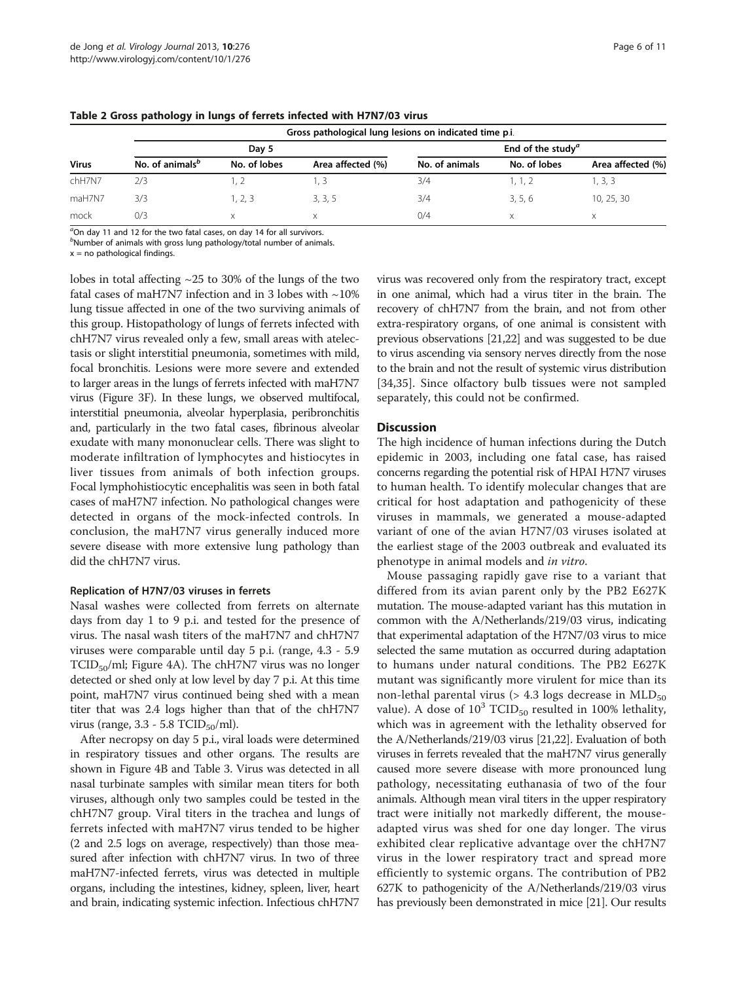| <b>Virus</b> | Gross pathological lung lesions on indicated time p.i. |              |                   |                                      |              |                   |  |  |  |  |  |  |  |
|--------------|--------------------------------------------------------|--------------|-------------------|--------------------------------------|--------------|-------------------|--|--|--|--|--|--|--|
|              |                                                        | Day 5        |                   | End of the study <sup><i>a</i></sup> |              |                   |  |  |  |  |  |  |  |
|              | No. of animals <sup>b</sup>                            | No. of lobes | Area affected (%) | No. of animals                       | No. of lobes | Area affected (%) |  |  |  |  |  |  |  |
| chH7N7       | 2/3                                                    |              | I. 3              | 3/4                                  | 1. 1. 2      | 1, 3, 3           |  |  |  |  |  |  |  |
| maH7N7       | 3/3                                                    | 1, 2, 3      | 3, 3, 5           | 3/4                                  | 3.5.6        | 10, 25, 30        |  |  |  |  |  |  |  |
| mock         | 0/3                                                    | X            | X                 | 0/4                                  | X            | X                 |  |  |  |  |  |  |  |

<span id="page-5-0"></span>Table 2 Gross pathology in lungs of ferrets infected with H7N7/03 virus

 $^a$ On day 11 and 12 for the two fatal cases, on day 14 for all survivors.

 $^{\mathrm{\scriptscriptstyle{D}}}$ Number of animals with gross lung pathology/total number of animals.

 $x = no$  pathological findings.

lobes in total affecting  $\sim$  25 to 30% of the lungs of the two fatal cases of maH7N7 infection and in 3 lobes with  $\sim$ 10% lung tissue affected in one of the two surviving animals of this group. Histopathology of lungs of ferrets infected with chH7N7 virus revealed only a few, small areas with atelectasis or slight interstitial pneumonia, sometimes with mild, focal bronchitis. Lesions were more severe and extended to larger areas in the lungs of ferrets infected with maH7N7 virus (Figure [3](#page-4-0)F). In these lungs, we observed multifocal, interstitial pneumonia, alveolar hyperplasia, peribronchitis and, particularly in the two fatal cases, fibrinous alveolar exudate with many mononuclear cells. There was slight to moderate infiltration of lymphocytes and histiocytes in liver tissues from animals of both infection groups. Focal lymphohistiocytic encephalitis was seen in both fatal cases of maH7N7 infection. No pathological changes were detected in organs of the mock-infected controls. In conclusion, the maH7N7 virus generally induced more severe disease with more extensive lung pathology than did the chH7N7 virus.

#### Replication of H7N7/03 viruses in ferrets

Nasal washes were collected from ferrets on alternate days from day 1 to 9 p.i. and tested for the presence of virus. The nasal wash titers of the maH7N7 and chH7N7 viruses were comparable until day 5 p.i. (range, 4.3 - 5.9  $TCID<sub>50</sub>/ml; Figure 4A).$  $TCID<sub>50</sub>/ml; Figure 4A).$  $TCID<sub>50</sub>/ml; Figure 4A).$  The chH7N7 virus was no longer detected or shed only at low level by day 7 p.i. At this time point, maH7N7 virus continued being shed with a mean titer that was 2.4 logs higher than that of the chH7N7 virus (range,  $3.3 - 5.8$  TCID<sub>50</sub>/ml).

After necropsy on day 5 p.i., viral loads were determined in respiratory tissues and other organs. The results are shown in Figure [4B](#page-6-0) and Table [3.](#page-7-0) Virus was detected in all nasal turbinate samples with similar mean titers for both viruses, although only two samples could be tested in the chH7N7 group. Viral titers in the trachea and lungs of ferrets infected with maH7N7 virus tended to be higher (2 and 2.5 logs on average, respectively) than those measured after infection with chH7N7 virus. In two of three maH7N7-infected ferrets, virus was detected in multiple organs, including the intestines, kidney, spleen, liver, heart and brain, indicating systemic infection. Infectious chH7N7

virus was recovered only from the respiratory tract, except in one animal, which had a virus titer in the brain. The recovery of chH7N7 from the brain, and not from other extra-respiratory organs, of one animal is consistent with previous observations [[21,22\]](#page-9-0) and was suggested to be due to virus ascending via sensory nerves directly from the nose to the brain and not the result of systemic virus distribution [[34,35](#page-9-0)]. Since olfactory bulb tissues were not sampled separately, this could not be confirmed.

#### **Discussion**

The high incidence of human infections during the Dutch epidemic in 2003, including one fatal case, has raised concerns regarding the potential risk of HPAI H7N7 viruses to human health. To identify molecular changes that are critical for host adaptation and pathogenicity of these viruses in mammals, we generated a mouse-adapted variant of one of the avian H7N7/03 viruses isolated at the earliest stage of the 2003 outbreak and evaluated its phenotype in animal models and in vitro.

Mouse passaging rapidly gave rise to a variant that differed from its avian parent only by the PB2 E627K mutation. The mouse-adapted variant has this mutation in common with the A/Netherlands/219/03 virus, indicating that experimental adaptation of the H7N7/03 virus to mice selected the same mutation as occurred during adaptation to humans under natural conditions. The PB2 E627K mutant was significantly more virulent for mice than its non-lethal parental virus ( $> 4.3$  logs decrease in MLD<sub>50</sub> value). A dose of  $10^3$  TCID<sub>50</sub> resulted in 100% lethality, which was in agreement with the lethality observed for the A/Netherlands/219/03 virus [[21,22\]](#page-9-0). Evaluation of both viruses in ferrets revealed that the maH7N7 virus generally caused more severe disease with more pronounced lung pathology, necessitating euthanasia of two of the four animals. Although mean viral titers in the upper respiratory tract were initially not markedly different, the mouseadapted virus was shed for one day longer. The virus exhibited clear replicative advantage over the chH7N7 virus in the lower respiratory tract and spread more efficiently to systemic organs. The contribution of PB2 627K to pathogenicity of the A/Netherlands/219/03 virus has previously been demonstrated in mice [[21](#page-9-0)]. Our results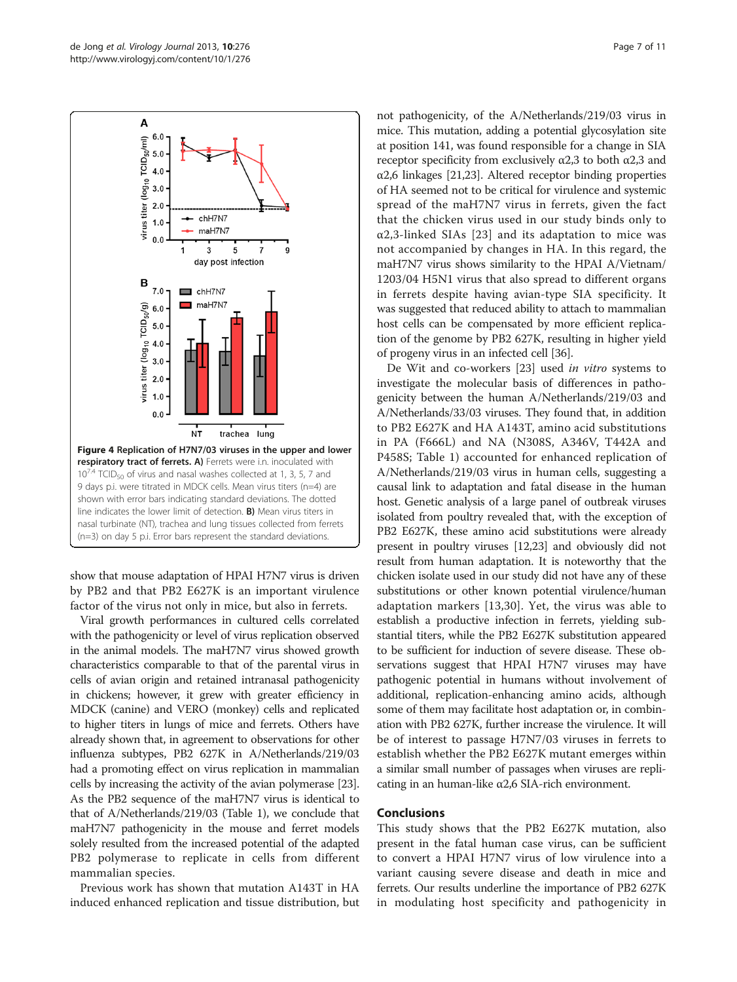<span id="page-6-0"></span>

show that mouse adaptation of HPAI H7N7 virus is driven by PB2 and that PB2 E627K is an important virulence factor of the virus not only in mice, but also in ferrets.

Viral growth performances in cultured cells correlated with the pathogenicity or level of virus replication observed in the animal models. The maH7N7 virus showed growth characteristics comparable to that of the parental virus in cells of avian origin and retained intranasal pathogenicity in chickens; however, it grew with greater efficiency in MDCK (canine) and VERO (monkey) cells and replicated to higher titers in lungs of mice and ferrets. Others have already shown that, in agreement to observations for other influenza subtypes, PB2 627K in A/Netherlands/219/03 had a promoting effect on virus replication in mammalian cells by increasing the activity of the avian polymerase [\[23](#page-9-0)]. As the PB2 sequence of the maH7N7 virus is identical to that of A/Netherlands/219/03 (Table [1](#page-3-0)), we conclude that maH7N7 pathogenicity in the mouse and ferret models solely resulted from the increased potential of the adapted PB2 polymerase to replicate in cells from different mammalian species.

Previous work has shown that mutation A143T in HA induced enhanced replication and tissue distribution, but

not pathogenicity, of the A/Netherlands/219/03 virus in mice. This mutation, adding a potential glycosylation site at position 141, was found responsible for a change in SIA receptor specificity from exclusively  $α2,3$  to both  $α2,3$  and α2,6 linkages [\[21,23](#page-9-0)]. Altered receptor binding properties of HA seemed not to be critical for virulence and systemic spread of the maH7N7 virus in ferrets, given the fact that the chicken virus used in our study binds only to  $\alpha$ 2,3-linked SIAs [\[23\]](#page-9-0) and its adaptation to mice was not accompanied by changes in HA. In this regard, the maH7N7 virus shows similarity to the HPAI A/Vietnam/ 1203/04 H5N1 virus that also spread to different organs in ferrets despite having avian-type SIA specificity. It was suggested that reduced ability to attach to mammalian host cells can be compensated by more efficient replication of the genome by PB2 627K, resulting in higher yield of progeny virus in an infected cell [[36](#page-9-0)].

De Wit and co-workers [[23\]](#page-9-0) used in vitro systems to investigate the molecular basis of differences in pathogenicity between the human A/Netherlands/219/03 and A/Netherlands/33/03 viruses. They found that, in addition to PB2 E627K and HA A143T, amino acid substitutions in PA (F666L) and NA (N308S, A346V, T442A and P458S; Table [1](#page-3-0)) accounted for enhanced replication of A/Netherlands/219/03 virus in human cells, suggesting a causal link to adaptation and fatal disease in the human host. Genetic analysis of a large panel of outbreak viruses isolated from poultry revealed that, with the exception of PB2 E627K, these amino acid substitutions were already present in poultry viruses [\[12,23\]](#page-9-0) and obviously did not result from human adaptation. It is noteworthy that the chicken isolate used in our study did not have any of these substitutions or other known potential virulence/human adaptation markers [[13](#page-9-0),[30\]](#page-9-0). Yet, the virus was able to establish a productive infection in ferrets, yielding substantial titers, while the PB2 E627K substitution appeared to be sufficient for induction of severe disease. These observations suggest that HPAI H7N7 viruses may have pathogenic potential in humans without involvement of additional, replication-enhancing amino acids, although some of them may facilitate host adaptation or, in combination with PB2 627K, further increase the virulence. It will be of interest to passage H7N7/03 viruses in ferrets to establish whether the PB2 E627K mutant emerges within a similar small number of passages when viruses are replicating in an human-like α2,6 SIA-rich environment.

#### Conclusions

This study shows that the PB2 E627K mutation, also present in the fatal human case virus, can be sufficient to convert a HPAI H7N7 virus of low virulence into a variant causing severe disease and death in mice and ferrets. Our results underline the importance of PB2 627K in modulating host specificity and pathogenicity in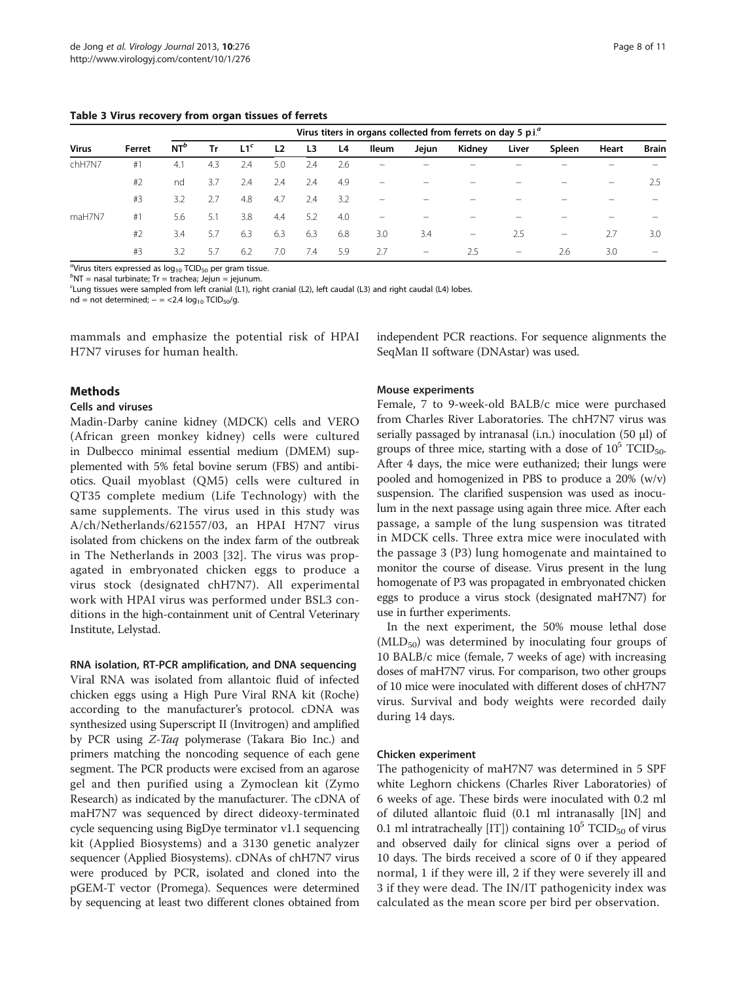<span id="page-7-0"></span>Table 3 Virus recovery from organ tissues of ferrets

| Virus  | Ferret | Virus titers in organs collected from ferrets on day 5 p.i. <sup><i>a</i></sup> |     |                 |                |     |     |                                       |                                 |                                 |                         |                 |                          |                                |
|--------|--------|---------------------------------------------------------------------------------|-----|-----------------|----------------|-----|-----|---------------------------------------|---------------------------------|---------------------------------|-------------------------|-----------------|--------------------------|--------------------------------|
|        |        | $NT^b$                                                                          | Tr  | L1 <sup>c</sup> | L <sub>2</sub> | L3  | L4  | lleum                                 | Jejun                           | Kidney                          | Liver                   | Spleen          | Heart                    | <b>Brain</b>                   |
| chH7N7 | #1     | 4.1                                                                             | 4.3 | 2.4             | 5.0            | 2.4 | 2.6 |                                       |                                 |                                 |                         |                 |                          |                                |
|        | #2     | nd                                                                              | 3.7 | 2.4             | 2.4            | 2.4 | 4.9 | $\hspace{1.0cm} \rule{1.5cm}{0.15cm}$ |                                 |                                 |                         |                 | $\overline{\phantom{0}}$ | 2.5                            |
|        | #3     | 3.2                                                                             | 2.7 | 4.8             | 4.7            | 2.4 | 3.2 |                                       |                                 |                                 |                         |                 |                          |                                |
| maH7N7 | #1     | 5.6                                                                             | 5.1 | 3.8             | 4.4            | 5.2 | 4.0 | $\overline{\phantom{m}}$              |                                 | -                               |                         |                 |                          |                                |
|        | #2     | 3.4                                                                             | 5.7 | 6.3             | 6.3            | 6.3 | 6.8 | 3.0                                   | 3.4                             | $\hspace{0.1mm}-\hspace{0.1mm}$ | 2.5                     | $\qquad \qquad$ | 2.7                      | 3.0                            |
|        | #3     | 3.2                                                                             | 5.7 | 6.2             | 7.0            | 7.4 | 5.9 | 2.7                                   | $\hspace{0.1mm}-\hspace{0.1mm}$ | 2.5                             | $\qquad \qquad \  \, -$ | 2.6             | 3.0                      | $\qquad \qquad \longleftarrow$ |
|        |        |                                                                                 |     |                 |                |     |     |                                       |                                 |                                 |                         |                 |                          |                                |

 $\mathrm{^{a}\!V}$ irus titers expressed as  $\log_{10}$  TCID<sub>50</sub> per gram tissue.

 $^{\circ}$ NT = nasal turbinate; Tr = trachea; Jejun = jejunum. c Lung tissues were sampled from left cranial (L1), right cranial (L2), left caudal (L3) and right caudal (L4) lobes.

nd = not determined;  $-$  = <2.4  $log_{10}$  TCID<sub>50</sub>/g.

mammals and emphasize the potential risk of HPAI H7N7 viruses for human health.

independent PCR reactions. For sequence alignments the SeqMan II software (DNAstar) was used.

# Methods

#### Cells and viruses

Madin-Darby canine kidney (MDCK) cells and VERO (African green monkey kidney) cells were cultured in Dulbecco minimal essential medium (DMEM) supplemented with 5% fetal bovine serum (FBS) and antibiotics. Quail myoblast (QM5) cells were cultured in QT35 complete medium (Life Technology) with the same supplements. The virus used in this study was A/ch/Netherlands/621557/03, an HPAI H7N7 virus isolated from chickens on the index farm of the outbreak in The Netherlands in 2003 [[32\]](#page-9-0). The virus was propagated in embryonated chicken eggs to produce a virus stock (designated chH7N7). All experimental work with HPAI virus was performed under BSL3 conditions in the high-containment unit of Central Veterinary Institute, Lelystad.

#### RNA isolation, RT-PCR amplification, and DNA sequencing

Viral RNA was isolated from allantoic fluid of infected chicken eggs using a High Pure Viral RNA kit (Roche) according to the manufacturer's protocol. cDNA was synthesized using Superscript II (Invitrogen) and amplified by PCR using Z-Taq polymerase (Takara Bio Inc.) and primers matching the noncoding sequence of each gene segment. The PCR products were excised from an agarose gel and then purified using a Zymoclean kit (Zymo Research) as indicated by the manufacturer. The cDNA of maH7N7 was sequenced by direct dideoxy-terminated cycle sequencing using BigDye terminator v1.1 sequencing kit (Applied Biosystems) and a 3130 genetic analyzer sequencer (Applied Biosystems). cDNAs of chH7N7 virus were produced by PCR, isolated and cloned into the pGEM-T vector (Promega). Sequences were determined by sequencing at least two different clones obtained from

#### Mouse experiments

Female, 7 to 9-week-old BALB/c mice were purchased from Charles River Laboratories. The chH7N7 virus was serially passaged by intranasal (i.n.) inoculation (50 μl) of groups of three mice, starting with a dose of  $10^5$  TCID<sub>50</sub>. After 4 days, the mice were euthanized; their lungs were pooled and homogenized in PBS to produce a 20% (w/v) suspension. The clarified suspension was used as inoculum in the next passage using again three mice. After each passage, a sample of the lung suspension was titrated in MDCK cells. Three extra mice were inoculated with the passage 3 (P3) lung homogenate and maintained to monitor the course of disease. Virus present in the lung homogenate of P3 was propagated in embryonated chicken eggs to produce a virus stock (designated maH7N7) for use in further experiments.

In the next experiment, the 50% mouse lethal dose  $(MLD_{50})$  was determined by inoculating four groups of 10 BALB/c mice (female, 7 weeks of age) with increasing doses of maH7N7 virus. For comparison, two other groups of 10 mice were inoculated with different doses of chH7N7 virus. Survival and body weights were recorded daily during 14 days.

# Chicken experiment

The pathogenicity of maH7N7 was determined in 5 SPF white Leghorn chickens (Charles River Laboratories) of 6 weeks of age. These birds were inoculated with 0.2 ml of diluted allantoic fluid (0.1 ml intranasally [IN] and 0.1 ml intratracheally [IT]) containing  $10^5$  TCID<sub>50</sub> of virus and observed daily for clinical signs over a period of 10 days. The birds received a score of 0 if they appeared normal, 1 if they were ill, 2 if they were severely ill and 3 if they were dead. The IN/IT pathogenicity index was calculated as the mean score per bird per observation.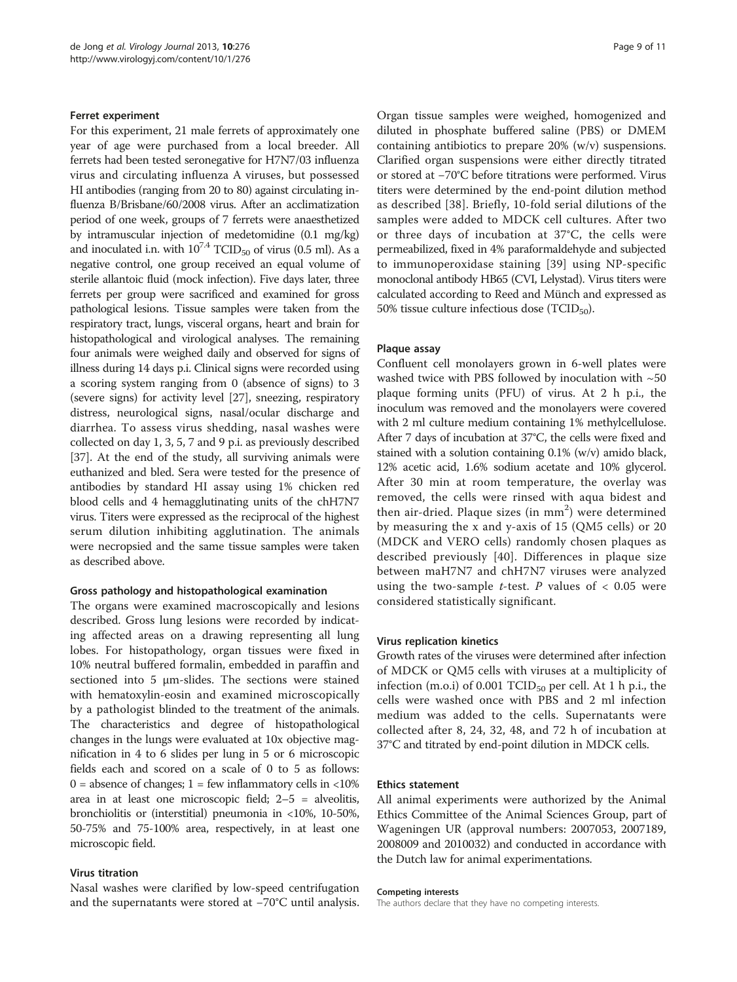#### Ferret experiment

For this experiment, 21 male ferrets of approximately one year of age were purchased from a local breeder. All ferrets had been tested seronegative for H7N7/03 influenza virus and circulating influenza A viruses, but possessed HI antibodies (ranging from 20 to 80) against circulating influenza B/Brisbane/60/2008 virus. After an acclimatization period of one week, groups of 7 ferrets were anaesthetized by intramuscular injection of medetomidine (0.1 mg/kg) and inoculated i.n. with  $10^{7.4}$  TCID<sub>50</sub> of virus (0.5 ml). As a negative control, one group received an equal volume of sterile allantoic fluid (mock infection). Five days later, three ferrets per group were sacrificed and examined for gross pathological lesions. Tissue samples were taken from the respiratory tract, lungs, visceral organs, heart and brain for histopathological and virological analyses. The remaining four animals were weighed daily and observed for signs of illness during 14 days p.i. Clinical signs were recorded using a scoring system ranging from 0 (absence of signs) to 3 (severe signs) for activity level [\[27\]](#page-9-0), sneezing, respiratory distress, neurological signs, nasal/ocular discharge and diarrhea. To assess virus shedding, nasal washes were collected on day 1, 3, 5, 7 and 9 p.i. as previously described [[37](#page-9-0)]. At the end of the study, all surviving animals were euthanized and bled. Sera were tested for the presence of antibodies by standard HI assay using 1% chicken red blood cells and 4 hemagglutinating units of the chH7N7 virus. Titers were expressed as the reciprocal of the highest serum dilution inhibiting agglutination. The animals were necropsied and the same tissue samples were taken as described above.

# Gross pathology and histopathological examination

The organs were examined macroscopically and lesions described. Gross lung lesions were recorded by indicating affected areas on a drawing representing all lung lobes. For histopathology, organ tissues were fixed in 10% neutral buffered formalin, embedded in paraffin and sectioned into 5 μm-slides. The sections were stained with hematoxylin-eosin and examined microscopically by a pathologist blinded to the treatment of the animals. The characteristics and degree of histopathological changes in the lungs were evaluated at 10x objective magnification in 4 to 6 slides per lung in 5 or 6 microscopic fields each and scored on a scale of 0 to 5 as follows:  $0 =$  absence of changes;  $1 =$  few inflammatory cells in <10% area in at least one microscopic field; 2–5 = alveolitis, bronchiolitis or (interstitial) pneumonia in <10%, 10-50%, 50-75% and 75-100% area, respectively, in at least one microscopic field.

# Virus titration

Nasal washes were clarified by low-speed centrifugation and the supernatants were stored at −70°C until analysis. Organ tissue samples were weighed, homogenized and diluted in phosphate buffered saline (PBS) or DMEM containing antibiotics to prepare 20% (w/v) suspensions. Clarified organ suspensions were either directly titrated or stored at −70°C before titrations were performed. Virus titers were determined by the end-point dilution method as described [[38](#page-9-0)]. Briefly, 10-fold serial dilutions of the samples were added to MDCK cell cultures. After two or three days of incubation at 37°C, the cells were permeabilized, fixed in 4% paraformaldehyde and subjected to immunoperoxidase staining [[39](#page-10-0)] using NP-specific monoclonal antibody HB65 (CVI, Lelystad). Virus titers were calculated according to Reed and Münch and expressed as 50% tissue culture infectious dose  $(TCID<sub>50</sub>)$ .

# Plaque assay

Confluent cell monolayers grown in 6-well plates were washed twice with PBS followed by inoculation with  $~50$ plaque forming units (PFU) of virus. At 2 h p.i., the inoculum was removed and the monolayers were covered with 2 ml culture medium containing 1% methylcellulose. After 7 days of incubation at 37°C, the cells were fixed and stained with a solution containing 0.1% (w/v) amido black, 12% acetic acid, 1.6% sodium acetate and 10% glycerol. After 30 min at room temperature, the overlay was removed, the cells were rinsed with aqua bidest and then air-dried. Plaque sizes (in mm<sup>2</sup>) were determined by measuring the x and y-axis of 15 (QM5 cells) or 20 (MDCK and VERO cells) randomly chosen plaques as described previously [\[40](#page-10-0)]. Differences in plaque size between maH7N7 and chH7N7 viruses were analyzed using the two-sample *t*-test. P values of  $< 0.05$  were considered statistically significant.

# Virus replication kinetics

Growth rates of the viruses were determined after infection of MDCK or QM5 cells with viruses at a multiplicity of infection (m.o.i) of 0.001 TCID $_{50}$  per cell. At 1 h p.i., the cells were washed once with PBS and 2 ml infection medium was added to the cells. Supernatants were collected after 8, 24, 32, 48, and 72 h of incubation at 37°C and titrated by end-point dilution in MDCK cells.

#### Ethics statement

All animal experiments were authorized by the Animal Ethics Committee of the Animal Sciences Group, part of Wageningen UR (approval numbers: 2007053, 2007189, 2008009 and 2010032) and conducted in accordance with the Dutch law for animal experimentations.

#### Competing interests

The authors declare that they have no competing interests.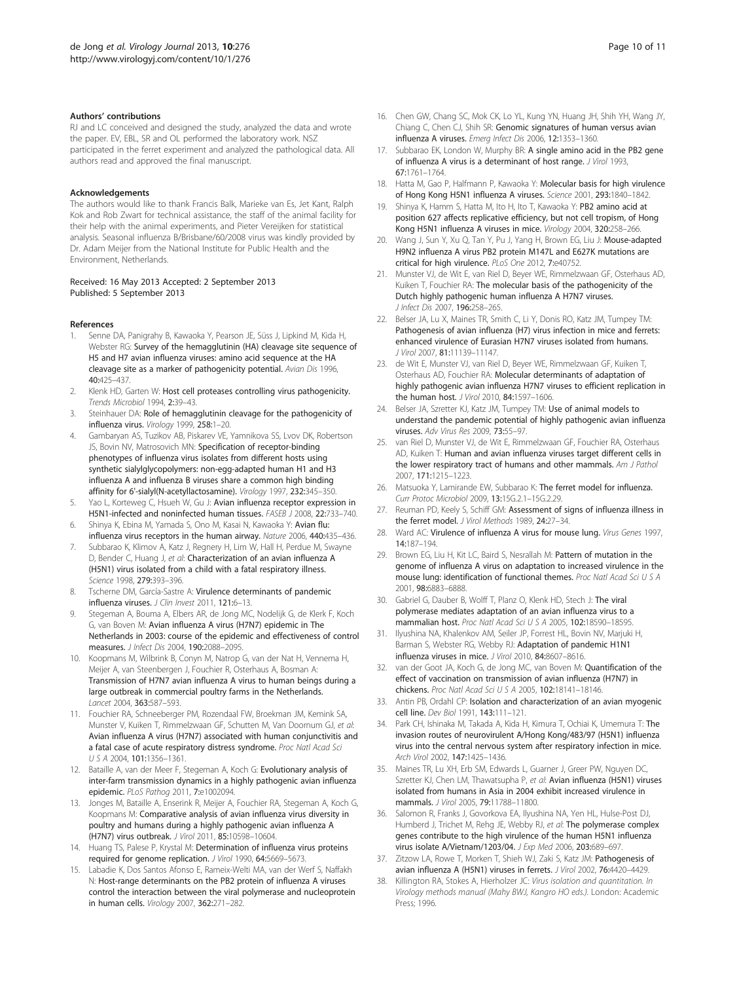#### <span id="page-9-0"></span>Authors' contributions

RJ and LC conceived and designed the study, analyzed the data and wrote the paper. EV, EBL, SR and OL performed the laboratory work. NSZ participated in the ferret experiment and analyzed the pathological data. All authors read and approved the final manuscript.

#### Acknowledgements

The authors would like to thank Francis Balk, Marieke van Es, Jet Kant, Ralph Kok and Rob Zwart for technical assistance, the staff of the animal facility for their help with the animal experiments, and Pieter Vereijken for statistical analysis. Seasonal influenza B/Brisbane/60/2008 virus was kindly provided by Dr. Adam Meijer from the National Institute for Public Health and the Environment, Netherlands.

#### Received: 16 May 2013 Accepted: 2 September 2013 Published: 5 September 2013

#### References

- 1. Senne DA, Panigrahy B, Kawaoka Y, Pearson JE, Süss J, Lipkind M, Kida H, Webster RG: Survey of the hemagglutinin (HA) cleavage site sequence of H5 and H7 avian influenza viruses: amino acid sequence at the HA cleavage site as a marker of pathogenicity potential. Avian Dis 1996, 40:425–437.
- 2. Klenk HD, Garten W: Host cell proteases controlling virus pathogenicity. Trends Microbiol 1994, 2:39–43.
- 3. Steinhauer DA: Role of hemagglutinin cleavage for the pathogenicity of influenza virus. Virology 1999, 258:1–20.
- 4. Gambaryan AS, Tuzikov AB, Piskarev VE, Yamnikova SS, Lvov DK, Robertson JS, Bovin NV, Matrosovich MN: Specification of receptor-binding phenotypes of influenza virus isolates from different hosts using synthetic sialylglycopolymers: non-egg-adapted human H1 and H3 influenza A and influenza B viruses share a common high binding affinity for 6'-sialyl(N-acetyllactosamine). Virology 1997, 232:345–350.
- Yao L, Korteweg C, Hsueh W, Gu J: Avian influenza receptor expression in H5N1-infected and noninfected human tissues. FASEB J 2008, 22:733–740.
- 6. Shinya K, Ebina M, Yamada S, Ono M, Kasai N, Kawaoka Y: Avian flu: influenza virus receptors in the human airway. Nature 2006, 440:435–436.
- 7. Subbarao K, Klimov A, Katz J, Regnery H, Lim W, Hall H, Perdue M, Swayne D, Bender C, Huang J, et al: Characterization of an avian influenza A (H5N1) virus isolated from a child with a fatal respiratory illness. Science 1998, 279:393–396.
- 8. Tscherne DM, García-Sastre A: Virulence determinants of pandemic influenza viruses. J Clin Invest 2011, 121:6-13.
- 9. Stegeman A, Bouma A, Elbers AR, de Jong MC, Nodelijk G, de Klerk F, Koch G, van Boven M: Avian influenza A virus (H7N7) epidemic in The Netherlands in 2003: course of the epidemic and effectiveness of control measures. J Infect Dis 2004, 190:2088–2095.
- 10. Koopmans M, Wilbrink B, Conyn M, Natrop G, van der Nat H, Vennema H, Meijer A, van Steenbergen J, Fouchier R, Osterhaus A, Bosman A: Transmission of H7N7 avian influenza A virus to human beings during a large outbreak in commercial poultry farms in the Netherlands. Lancet 2004, 363:587–593.
- 11. Fouchier RA, Schneeberger PM, Rozendaal FW, Broekman JM, Kemink SA, Munster V, Kuiken T, Rimmelzwaan GF, Schutten M, Van Doornum GJ, et al: Avian influenza A virus (H7N7) associated with human conjunctivitis and a fatal case of acute respiratory distress syndrome. Proc Natl Acad Sci USA 2004, 101:1356–1361.
- 12. Bataille A, van der Meer F, Stegeman A, Koch G: Evolutionary analysis of inter-farm transmission dynamics in a highly pathogenic avian influenza epidemic. PLoS Pathog 2011, 7:e1002094.
- 13. Jonges M, Bataille A, Enserink R, Meijer A, Fouchier RA, Stegeman A, Koch G, Koopmans M: Comparative analysis of avian influenza virus diversity in poultry and humans during a highly pathogenic avian influenza A (H7N7) virus outbreak. J Virol 2011, 85:10598–10604.
- 14. Huang TS, Palese P, Krystal M: Determination of influenza virus proteins required for genome replication. J Virol 1990, 64:5669–5673.
- Labadie K, Dos Santos Afonso E, Rameix-Welti MA, van der Werf S, Naffakh N: Host-range determinants on the PB2 protein of influenza A viruses control the interaction between the viral polymerase and nucleoprotein in human cells. Virology 2007, 362:271–282.
- 16. Chen GW, Chang SC, Mok CK, Lo YL, Kung YN, Huang JH, Shih YH, Wang JY, Chiang C, Chen CJ, Shih SR: Genomic signatures of human versus avian influenza A viruses. Emerg Infect Dis 2006, 12:1353–1360.
- 17. Subbarao EK, London W, Murphy BR: A single amino acid in the PB2 gene of influenza A virus is a determinant of host range. J Virol 1993, 67:1761–1764.
- 18. Hatta M, Gao P, Halfmann P, Kawaoka Y: Molecular basis for high virulence of Hong Kong H5N1 influenza A viruses. Science 2001, 293:1840–1842.
- 19. Shinya K, Hamm S, Hatta M, Ito H, Ito T, Kawaoka Y: PB2 amino acid at position 627 affects replicative efficiency, but not cell tropism, of Hong Kong H5N1 influenza A viruses in mice. Virology 2004, 320:258-266.
- 20. Wang J, Sun Y, Xu Q, Tan Y, Pu J, Yang H, Brown EG, Liu J: Mouse-adapted H9N2 influenza A virus PB2 protein M147L and E627K mutations are critical for high virulence. PLoS One 2012, 7:e40752.
- 21. Munster VJ, de Wit E, van Riel D, Beyer WE, Rimmelzwaan GF, Osterhaus AD, Kuiken T, Fouchier RA: The molecular basis of the pathogenicity of the Dutch highly pathogenic human influenza A H7N7 viruses. J Infect Dis 2007, 196:258-265.
- 22. Belser JA, Lu X, Maines TR, Smith C, Li Y, Donis RO, Katz JM, Tumpey TM: Pathogenesis of avian influenza (H7) virus infection in mice and ferrets: enhanced virulence of Eurasian H7N7 viruses isolated from humans. J Virol 2007, 81:11139–11147.
- 23. de Wit E, Munster VJ, van Riel D, Beyer WE, Rimmelzwaan GF, Kuiken T, Osterhaus AD, Fouchier RA: Molecular determinants of adaptation of highly pathogenic avian influenza H7N7 viruses to efficient replication in the human host. J Virol 2010, 84:1597-1606.
- 24. Belser JA, Szretter KJ, Katz JM, Tumpey TM: Use of animal models to understand the pandemic potential of highly pathogenic avian influenza viruses. Adv Virus Res 2009, 73:55–97.
- 25. van Riel D, Munster VJ, de Wit E, Rimmelzwaan GF, Fouchier RA, Osterhaus AD, Kuiken T: Human and avian influenza viruses target different cells in the lower respiratory tract of humans and other mammals. Am J Pathol 2007, 171:1215–1223.
- 26. Matsuoka Y, Lamirande EW, Subbarao K: The ferret model for influenza. Curr Protoc Microbiol 2009, 13:15G.2.1–15G.2.29.
- 27. Reuman PD, Keely S, Schiff GM: Assessment of signs of influenza illness in the ferret model. J Virol Methods 1989, 24:27–34.
- 28. Ward AC: Virulence of influenza A virus for mouse lung. Virus Genes 1997, 14:187–194.
- 29. Brown EG, Liu H, Kit LC, Baird S, Nesrallah M: Pattern of mutation in the genome of influenza A virus on adaptation to increased virulence in the mouse lung: identification of functional themes. Proc Natl Acad Sci U S A 2001, 98:6883–6888.
- 30. Gabriel G, Dauber B, Wolff T, Planz O, Klenk HD, Stech J: The viral polymerase mediates adaptation of an avian influenza virus to a mammalian host. Proc Natl Acad Sci U S A 2005, 102:18590–18595.
- 31. Ilyushina NA, Khalenkov AM, Seiler JP, Forrest HL, Bovin NV, Marjuki H, Barman S, Webster RG, Webby RJ: Adaptation of pandemic H1N1 influenza viruses in mice. J Virol 2010, 84:8607–8616.
- 32. van der Goot JA, Koch G, de Jong MC, van Boven M: Quantification of the effect of vaccination on transmission of avian influenza (H7N7) in chickens. Proc Natl Acad Sci U S A 2005, 102:18141–18146.
- 33. Antin PB, Ordahl CP: Isolation and characterization of an avian myogenic cell line. Dev Biol 1991, 143:111–121.
- 34. Park CH, Ishinaka M, Takada A, Kida H, Kimura T, Ochiai K, Umemura T: The invasion routes of neurovirulent A/Hong Kong/483/97 (H5N1) influenza virus into the central nervous system after respiratory infection in mice. Arch Virol 2002 147:1425-1436
- 35. Maines TR, Lu XH, Erb SM, Edwards L, Guarner J, Greer PW, Nguyen DC, Szretter KJ, Chen LM, Thawatsupha P, et al: Avian influenza (H5N1) viruses isolated from humans in Asia in 2004 exhibit increased virulence in mammals. J Virol 2005, 79:11788–11800.
- 36. Salomon R, Franks J, Govorkova EA, Ilyushina NA, Yen HL, Hulse-Post DJ, Humberd J, Trichet M, Rehg JE, Webby RJ, et al: The polymerase complex genes contribute to the high virulence of the human H5N1 influenza virus isolate A/Vietnam/1203/04. J Exp Med 2006, 203:689–697.
- 37. Zitzow LA, Rowe T, Morken T, Shieh WJ, Zaki S, Katz JM: Pathogenesis of avian influenza A (H5N1) viruses in ferrets. J Virol 2002, 76:4420-4429.
- 38. Killington RA, Stokes A, Hierholzer JC: Virus isolation and quantitation. In Virology methods manual (Mahy BWJ, Kangro HO eds.). London: Academic Press; 1996.